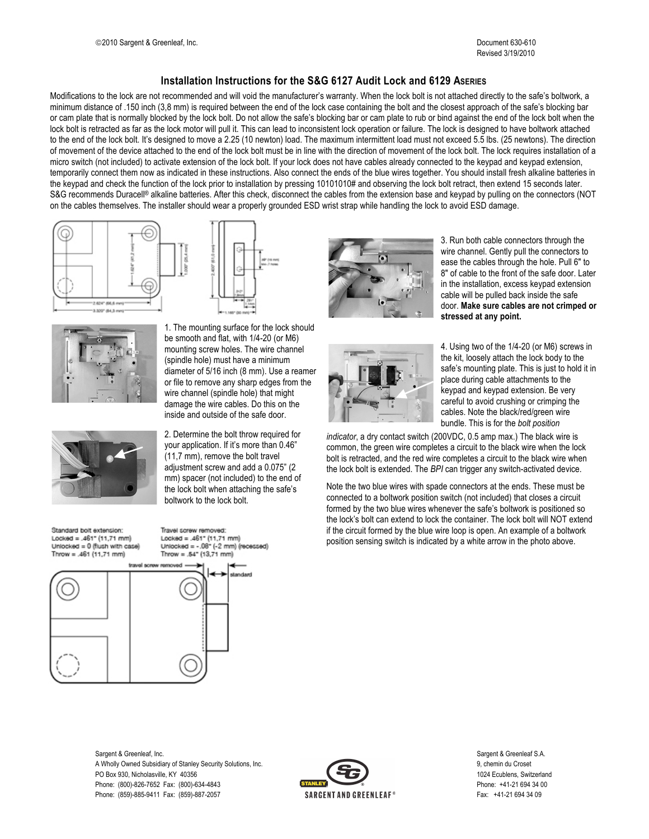## **Installation Instructions for the S&G 6127 Audit Lock and 6129 ASERIES**

Modifications to the lock are not recommended and will void the manufacturer's warranty. When the lock bolt is not attached directly to the safe's boltwork, a minimum distance of .150 inch (3,8 mm) is required between the end of the lock case containing the bolt and the closest approach of the safe's blocking bar or cam plate that is normally blocked by the lock bolt. Do not allow the safe's blocking bar or cam plate to rub or bind against the end of the lock bolt when the lock bolt is retracted as far as the lock motor will pull it. This can lead to inconsistent lock operation or failure. The lock is designed to have boltwork attached to the end of the lock bolt. It's designed to move a 2.25 (10 newton) load. The maximum intermittent load must not exceed 5.5 lbs. (25 newtons). The direction of movement of the device attached to the end of the lock bolt must be in line with the direction of movement of the lock bolt. The lock requires installation of a micro switch (not included) to activate extension of the lock bolt. If your lock does not have cables already connected to the keypad and keypad extension, temporarily connect them now as indicated in these instructions. Also connect the ends of the blue wires together. You should install fresh alkaline batteries in the keypad and check the function of the lock prior to installation by pressing 10101010# and observing the lock bolt retract, then extend 15 seconds later. S&G recommends Duracell® alkaline batteries. After this check, disconnect the cables from the extension base and keypad by pulling on the connectors (NOT on the cables themselves. The installer should wear a properly grounded ESD wrist strap while handling the lock to avoid ESD damage.





1. The mounting surface for the lock should be smooth and flat, with 1/4-20 (or M6) mounting screw holes. The wire channel (spindle hole) must have a minimum diameter of 5/16 inch (8 mm). Use a reamer or file to remove any sharp edges from the wire channel (spindle hole) that might damage the wire cables. Do this on the inside and outside of the safe door.

2. Determine the bolt throw required for your application. If it's more than 0.46" (11,7 mm), remove the bolt travel adjustment screw and add a 0.075" (2 mm) spacer (not included) to the end of the lock bolt when attaching the safe's

Standard bolt extension: Locked =  $.461^{\circ}$  (11,71 mm) Unlocked = 0 (flush with case) Throw = .461  $(11.71 \text{ mm})$ 



Travel screw removed: Locked =  $.461^{\circ}$  (11,71 mm) Unlocked =  $-.08 - (-2$  mm) (recessed)

boltwork to the lock bolt.



3. Run both cable connectors through the wire channel. Gently pull the connectors to ease the cables through the hole. Pull 6" to 8" of cable to the front of the safe door. Later in the installation, excess keypad extension cable will be pulled back inside the safe door. **Make sure cables are not crimped or stressed at any point.**



4. Using two of the 1/4-20 (or M6) screws in the kit, loosely attach the lock body to the safe's mounting plate. This is just to hold it in place during cable attachments to the keypad and keypad extension. Be very careful to avoid crushing or crimping the cables. Note the black/red/green wire bundle. This is for the *bolt position*

*indicator*, a dry contact switch (200VDC, 0.5 amp max.) The black wire is common, the green wire completes a circuit to the black wire when the lock bolt is retracted, and the red wire completes a circuit to the black wire when the lock bolt is extended. The *BPI* can trigger any switch-activated device.

Note the two blue wires with spade connectors at the ends. These must be connected to a boltwork position switch (not included) that closes a circuit formed by the two blue wires whenever the safe's boltwork is positioned so the lock's bolt can extend to lock the container. The lock bolt will NOT extend if the circuit formed by the blue wire loop is open. An example of a boltwork position sensing switch is indicated by a white arrow in the photo above.

Sargent & Greenleaf, Inc. Sargent & Greenleaf S.A. A Wholly Owned Subsidiary of Stanley Security Solutions, Inc. **9, chemin du Croset** 9, chemin du Croset PO Box 930, Nicholasville, KY 40356 1024 Ecublens, Switzerland Phone: (800)-826-7652 Fax: (800)-634-4843 **Phone: +41-21 694 34 00** Phone: (859)-885-9411 Fax: (859)-887-2057 Fax: +41-21 694 34 09

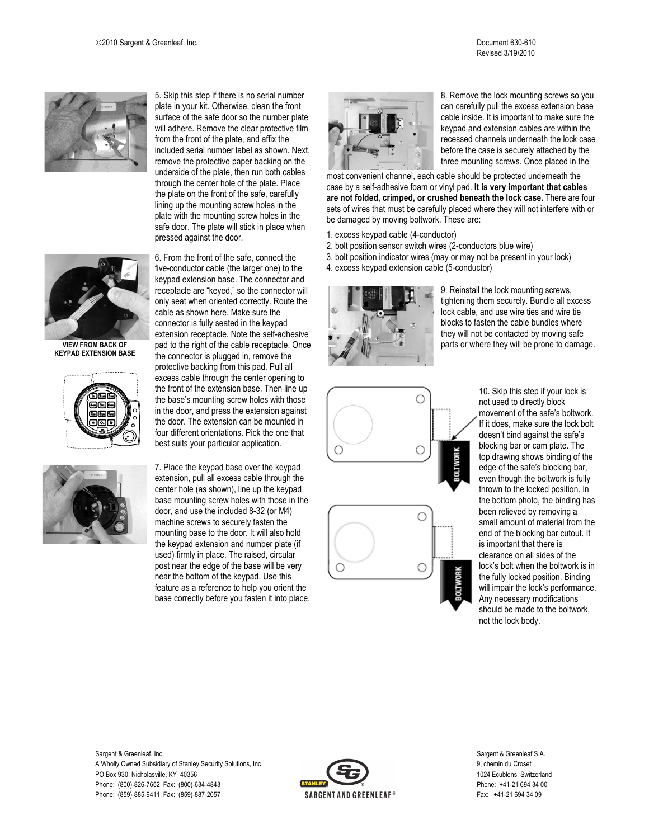



**VIEW FROM BACK OF KEYPAD EXTENSION BASE**





5. Skip this step if there is no serial number plate in your kit. Otherwise, clean the front surface of the safe door so the number plate will adhere. Remove the clear protective film from the front of the plate, and affix the included serial number label as shown. Next, remove the protective paper backing on the underside of the plate, then run both cables through the center hole of the plate. Place the plate on the front of the safe, carefully lining up the mounting screw holes in the plate with the mounting screw holes in the safe door. The plate will stick in place when pressed against the door.

6. From the front of the safe, connect the five-conductor cable (the larger one) to the keypad extension base. The connector and receptacle are "keyed," so the connector will only seat when oriented correctly. Route the cable as shown here. Make sure the connector is fully seated in the keypad extension receptacle. Note the self-adhesive pad to the right of the cable receptacle. Once the connector is plugged in, remove the protective backing from this pad. Pull all excess cable through the center opening to the front of the extension base. Then line up the base's mounting screw holes with those in the door, and press the extension against the door. The extension can be mounted in four different orientations. Pick the one that best suits your particular application.

7. Place the keypad base over the keypad extension, pull all excess cable through the center hole (as shown), line up the keypad base mounting screw holes with those in the door, and use the included 8-32 (or M4) machine screws to securely fasten the mounting base to the door. It will also hold the keypad extension and number plate (if used) firmly in place. The raised, circular post near the edge of the base will be very near the bottom of the keypad. Use this feature as a reference to help you orient the base correctly before you fasten it into place.



8. Remove the lock mounting screws so you can carefully pull the excess extension base cable inside. It is important to make sure the keypad and extension cables are within the recessed channels underneath the lock case before the case is securely attached by the three mounting screws. Once placed in the

most convenient channel, each cable should be protected underneath the case by a self-adhesive foam or vinyl pad. **It is very important that cables are not folded, crimped, or crushed beneath the lock case.** There are four sets of wires that must be carefully placed where they will not interfere with or be damaged by moving boltwork. These are:

- 1. excess keypad cable (4-conductor)
- 2. bolt position sensor switch wires (2-conductors blue wire)
- 3. bolt position indicator wires (may or may not be present in your lock)
- 4. excess keypad extension cable (5-conductor)



9. Reinstall the lock mounting screws, tightening them securely. Bundle all excess lock cable, and use wire ties and wire tie blocks to fasten the cable bundles where they will not be contacted by moving safe parts or where they will be prone to damage.



10. Skip this step if your lock is not used to directly block movement of the safe's boltwork. If it does, make sure the lock bolt doesn't bind against the safe's blocking bar or cam plate. The top drawing shows binding of the edge of the safe's blocking bar, even though the boltwork is fully thrown to the locked position. In the bottom photo, the binding has been relieved by removing a small amount of material from the end of the blocking bar cutout. It is important that there is clearance on all sides of the lock's bolt when the boltwork is in the fully locked position. Binding will impair the lock's performance. Any necessary modifications should be made to the boltwork, not the lock body.

Sargent & Greenleaf, Inc. Sargent & Greenleaf S.A. A Wholly Owned Subsidiary of Stanley Security Solutions, Inc. 9, chemin du Croset PO Box 930, Nicholasville, KY 40356 1024 Ecublens, Switzerland Phone: (800)-826-7652 Fax: (800)-634-4843 **Phone: +41-21 694 34 00** Phone: (859)-885-9411 Fax: (859)-887-2057 CHA CHA SARGENT AND GREENLEAF® Fax: +41-21 694 34 09